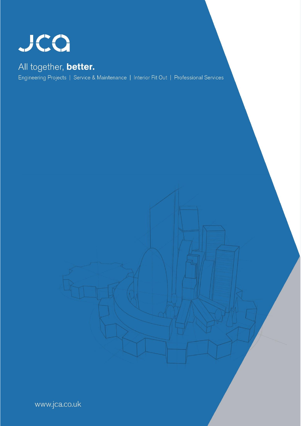

## All together, better.

Engineering Projects | Service & Maintenance | Interior Fit Out | Professional Services

www.jca.co.uk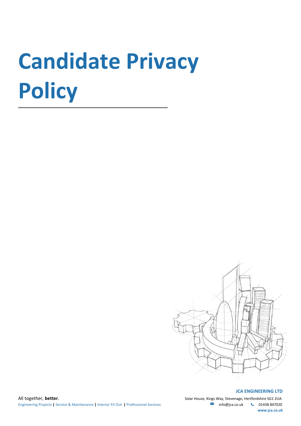# **Candidate Privacy Policy**



#### **JCA ENGINEERING LTD**

 **www.jca.co.uk**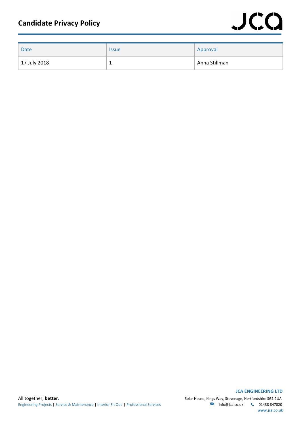| <b>Date</b>  | <b>Issue</b> | Approval      |
|--------------|--------------|---------------|
| 17 July 2018 |              | Anna Stillman |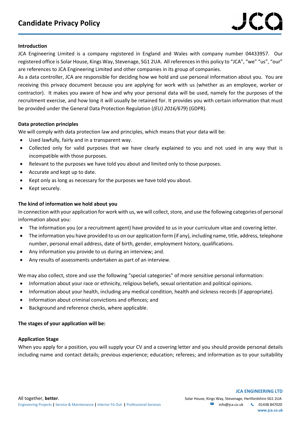#### **Introduction**

JCA Engineering Limited is a company registered in England and Wales with company number 04433957. Our registered office is Solar House, Kings Way, Stevenage, SG1 2UA. All references in this policy to "JCA", "we" "us", "our" are references to JCA Engineering Limited and other companies in its group of companies.

As a data controller, JCA are responsible for deciding how we hold and use personal information about you. You are receiving this privacy document because you are applying for work with us (whether as an employee, worker or contractor). It makes you aware of how and why your personal data will be used, namely for the purposes of the recruitment exercise, and how long it will usually be retained for. It provides you with certain information that must be provided under the General Data Protection Regulation (*(EU) 2016/679*) (GDPR).

#### **Data protection principles**

We will comply with data protection law and principles, which means that your data will be:

- Used lawfully, fairly and in a transparent way.
- Collected only for valid purposes that we have clearly explained to you and not used in any way that is incompatible with those purposes.
- Relevant to the purposes we have told you about and limited only to those purposes.
- Accurate and kept up to date.
- Kept only as long as necessary for the purposes we have told you about.
- Kept securely.

#### **The kind of information we hold about you**

In connection with your application for work with us, we will collect, store, and use the following categories of personal information about you:

- The information you (or a recruitment agent) have provided to us in your curriculum vitae and covering letter.
- The information you have provided to us on our application form (if any), including name, title, address, telephone number, personal email address, date of birth, gender, employment history, qualifications.
- Any information you provide to us during an interview; and.
- Any results of assessments undertaken as part of an interview.

We may also collect, store and use the following "special categories" of more sensitive personal information:

- Information about your race or ethnicity, religious beliefs, sexual orientation and political opinions.
- Information about your health, including any medical condition, health and sickness records (if appropriate).
- Information about criminal convictions and offences; and
- Background and reference checks, where applicable.

#### **The stages of your application will be:**

#### **Application Stage**

When you apply for a position, you will supply your CV and a covering letter and you should provide personal details including name and contact details; previous experience; education; referees; and information as to your suitability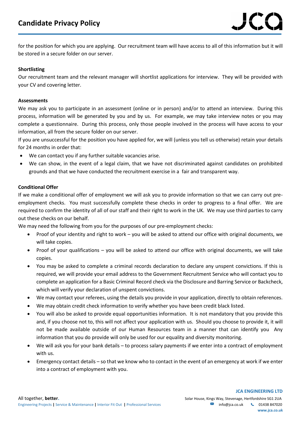for the position for which you are applying. Our recruitment team will have access to all of this information but it will be stored in a secure folder on our server.

#### **Shortlisting**

Our recruitment team and the relevant manager will shortlist applications for interview. They will be provided with your CV and covering letter.

#### **Assessments**

We may ask you to participate in an assessment (online or in person) and/or to attend an interview. During this process, information will be generated by you and by us. For example, we may take interview notes or you may complete a questionnaire. During this process, only those people involved in the process will have access to your information, all from the secure folder on our server.

If you are unsuccessful for the position you have applied for, we will (unless you tell us otherwise) retain your details for 24 months in order that:

- We can contact you if any further suitable vacancies arise.
- We can show, in the event of a legal claim, that we have not discriminated against candidates on prohibited grounds and that we have conducted the recruitment exercise in a fair and transparent way.

#### **Conditional Offer**

If we make a conditional offer of employment we will ask you to provide information so that we can carry out preemployment checks. You must successfully complete these checks in order to progress to a final offer. We are required to confirm the identity of all of our staff and their right to work in the UK. We may use third parties to carry out these checks on our behalf.

We may need the following from you for the purposes of our pre-employment checks:

- Proof of your identity and right to work you will be asked to attend our office with original documents, we will take copies.
- Proof of your qualifications you will be asked to attend our office with original documents, we will take copies.
- You may be asked to complete a criminal records declaration to declare any unspent convictions. If this is required, we will provide your email address to the Government Recruitment Service who will contact you to complete an application for a Basic Criminal Record check via the Disclosure and Barring Service or Backcheck, which will verify your declaration of unspent convictions.
- We may contact your referees, using the details you provide in your application, directly to obtain references.
- We may obtain credit check information to verify whether you have been credit black listed.
- You will also be asked to provide equal opportunities information. It is not mandatory that you provide this and, if you choose not to, this will not affect your application with us. Should you choose to provide it, it will not be made available outside of our Human Resources team in a manner that can identify you Any information that you do provide will only be used for our equality and diversity monitoring.
- We will ask you for your bank details to process salary payments if we enter into a contract of employment with us.
- Emergency contact details so that we know who to contact in the event of an emergency at work if we enter into a contract of employment with you.

 **JCA ENGINEERING LTD**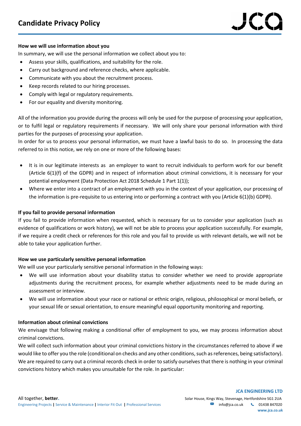#### **How we will use information about you**

In summary, we will use the personal information we collect about you to:

- Assess your skills, qualifications, and suitability for the role.
- Carry out background and reference checks, where applicable.
- Communicate with you about the recruitment process.
- Keep records related to our hiring processes.
- Comply with legal or regulatory requirements.
- For our equality and diversity monitoring.

All of the information you provide during the process will only be used for the purpose of processing your application, or to fulfil legal or regulatory requirements if necessary. We will only share your personal information with third parties for the purposes of processing your application.

In order for us to process your personal information, we must have a lawful basis to do so. In processing the data referred to in this notice, we rely on one or more of the following bases:

- It is in our legitimate interests as an employer to want to recruit individuals to perform work for our benefit (Article 6(1)(f) of the GDPR) and in respect of information about criminal convictions, it is necessary for your potential employment (Data Protection Act 2018 Schedule 1 Part 1(1));
- Where we enter into a contract of an employment with you in the context of your application, our processing of the information is pre-requisite to us entering into or performing a contract with you (Article 6(1)(b) GDPR).

#### **If you fail to provide personal information**

If you fail to provide information when requested, which is necessary for us to consider your application (such as evidence of qualifications or work history), we will not be able to process your application successfully. For example, if we require a credit check or references for this role and you fail to provide us with relevant details, we will not be able to take your application further.

#### **How we use particularly sensitive personal information**

We will use your particularly sensitive personal information in the following ways:

- We will use information about your disability status to consider whether we need to provide appropriate adjustments during the recruitment process, for example whether adjustments need to be made during an assessment or interview.
- We will use information about your race or national or ethnic origin, religious, philosophical or moral beliefs, or your sexual life or sexual orientation, to ensure meaningful equal opportunity monitoring and reporting.

#### **Information about criminal convictions**

We envisage that following making a conditional offer of employment to you, we may process information about criminal convictions.

We will collect such information about your criminal convictions history in the circumstances referred to above if we would like to offer you the role (conditional on checks and any other conditions, such as references, being satisfactory). We are required to carry out a criminal records check in order to satisfy ourselves that there is nothing in your criminal convictions history which makes you unsuitable for the role. In particular:

 **JCA ENGINEERING LTD**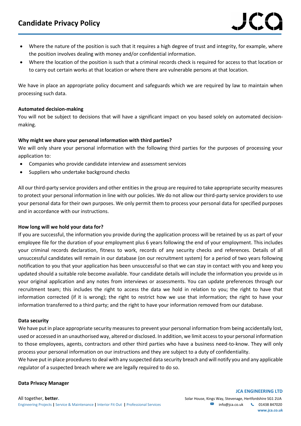### **Candidate Privacy Policy**

- Where the nature of the position is such that it requires a high degree of trust and integrity, for example, where the position involves dealing with money and/or confidential information.
- Where the location of the position is such that a criminal records check is required for access to that location or to carry out certain works at that location or where there are vulnerable persons at that location.

We have in place an appropriate policy document and safeguards which we are required by law to maintain when processing such data.

#### **Automated decision-making**

You will not be subject to decisions that will have a significant impact on you based solely on automated decisionmaking.

#### **Why might we share your personal information with third parties?**

We will only share your personal information with the following third parties for the purposes of processing your application to:

- Companies who provide candidate interview and assessment services
- Suppliers who undertake background checks

All our third-party service providers and other entities in the group are required to take appropriate security measures to protect your personal information in line with our policies. We do not allow our third-party service providers to use your personal data for their own purposes. We only permit them to process your personal data for specified purposes and in accordance with our instructions.

#### **How long will we hold your data for?**

If you are successful, the information you provide during the application process will be retained by us as part of your employee file for the duration of your employment plus 6 years following the end of your employment. This includes your criminal records declaration, fitness to work, records of any security checks and references. Details of all unsuccessful candidates will remain in our database (on our recruitment system) for a period of two years following notification to you that your application has been unsuccessful so that we can stay in contact with you and keep you updated should a suitable role become available. Your candidate details will include the information you provide us in your original application and any notes from interviews or assessments. You can update preferences through our recruitment team; this includes the right to access the data we hold in relation to you; the right to have that information corrected (if it is wrong); the right to restrict how we use that information; the right to have your information transferred to a third party; and the right to have your information removed from our database.

#### **Data security**

We have put in place appropriate security measures to prevent your personal information from being accidentally lost, used or accessed in an unauthorised way, altered or disclosed. In addition, we limit access to your personal information to those employees, agents, contractors and other third parties who have a business need-to-know. They will only process your personal information on our instructions and they are subject to a duty of confidentiality.

We have put in place procedures to deal with any suspected data security breach and will notify you and any applicable regulator of a suspected breach where we are legally required to do so.

#### **Data Privacy Manager**

## **JCA ENGINEERING LTD www.jca.co.uk**